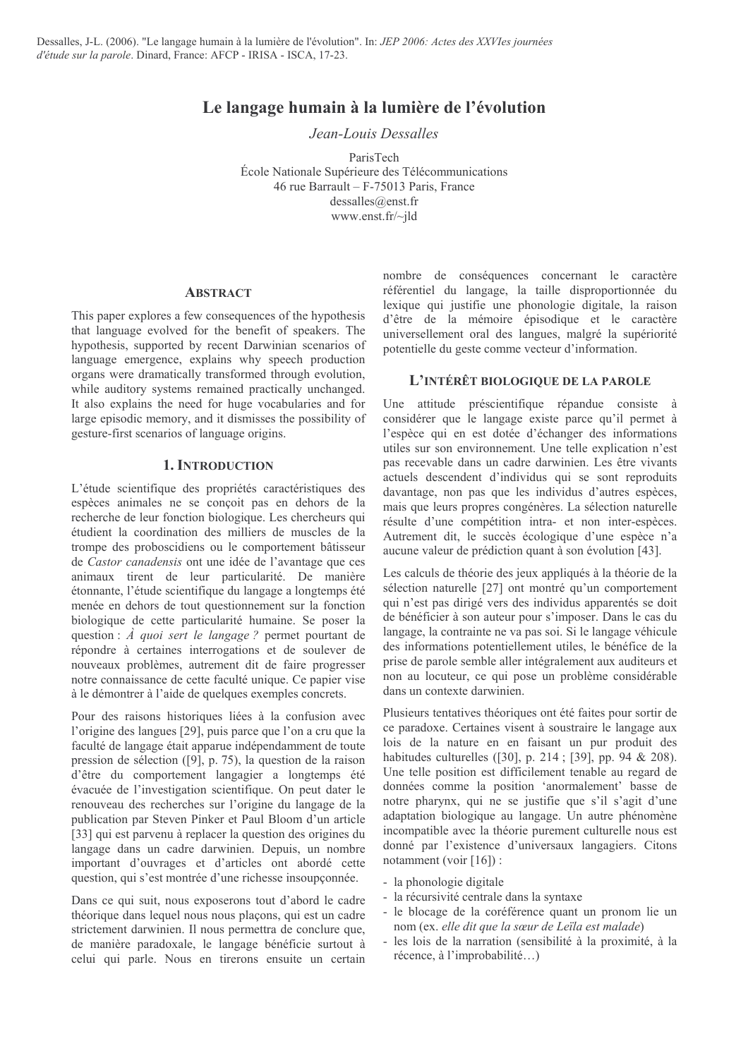# Le langage humain à la lumière de l'évolution

Jean-Louis Dessalles

ParisTech École Nationale Supérieure des Télécommunications 46 rue Barrault - F-75013 Paris, France  $dessalles@enst.fr$ www.enst.fr/~ild

#### **ABSTRACT**

This paper explores a few consequences of the hypothesis that language evolved for the benefit of speakers. The hypothesis, supported by recent Darwinian scenarios of language emergence, explains why speech production organs were dramatically transformed through evolution, while auditory systems remained practically unchanged. It also explains the need for huge vocabularies and for large episodic memory, and it dismisses the possibility of gesture-first scenarios of language origins.

### **1. INTRODUCTION**

L'étude scientifique des propriétés caractéristiques des espèces animales ne se conçoit pas en dehors de la recherche de leur fonction biologique. Les chercheurs qui étudient la coordination des milliers de muscles de la trompe des proboscidiens ou le comportement bâtisseur de Castor canadensis ont une idée de l'avantage que ces animaux tirent de leur particularité. De manière étonnante, l'étude scientifique du langage a longtemps été menée en dehors de tout questionnement sur la fonction biologique de cette particularité humaine. Se poser la question :  $\hat{A}$  quoi sert le langage ? permet pourtant de répondre à certaines interrogations et de soulever de nouveaux problèmes, autrement dit de faire progresser notre connaissance de cette faculté unique. Ce papier vise à le démontrer à l'aide de quelques exemples concrets.

Pour des raisons historiques liées à la confusion avec l'origine des langues [29], puis parce que l'on a cru que la faculté de langage était apparue indépendamment de toute pression de sélection  $([9]$ , p. 75), la question de la raison d'être du comportement langagier a longtemps été évacuée de l'investigation scientifique. On peut dater le renouveau des recherches sur l'origine du langage de la publication par Steven Pinker et Paul Bloom d'un article [33] qui est parvenu à replacer la question des origines du langage dans un cadre darwinien. Depuis, un nombre important d'ouvrages et d'articles ont abordé cette question, qui s'est montrée d'une richesse insoupçonnée.

Dans ce qui suit, nous exposerons tout d'abord le cadre théorique dans lequel nous nous plaçons, qui est un cadre strictement darwinien. Il nous permettra de conclure que, de manière paradoxale, le langage bénéficie surtout à celui qui parle. Nous en tirerons ensuite un certain nombre de conséquences concernant le caractère référentiel du langage, la taille disproportionnée du lexique qui justifie une phonologie digitale, la raison d'être de la mémoire épisodique et le caractère universellement oral des langues, malgré la supériorité potentielle du geste comme vecteur d'information.

## L'INTÉRÊT BIOLOGIOUE DE LA PAROLE

Une attitude préscientifique répandue consiste à considérer que le langage existe parce qu'il permet à l'espèce qui en est dotée d'échanger des informations utiles sur son environmement. Une telle explication n'est pas recevable dans un cadre darwinien. Les être vivants actuels descendent d'individus qui se sont reproduits davantage, non pas que les individus d'autres espèces, mais que leurs propres congénères. La sélection naturelle résulte d'une compétition intra- et non inter-espèces. Autrement dit, le succès écologique d'une espèce n'a aucune valeur de prédiction quant à son évolution [43].

Les calculs de théorie des jeux appliqués à la théorie de la sélection naturelle [27] ont montré qu'un comportement qui n'est pas dirigé vers des individus apparentés se doit de bénéficier à son auteur pour s'imposer. Dans le cas du langage, la contrainte ne va pas soi. Si le langage véhicule des informations potentiellement utiles, le bénéfice de la prise de parole semble aller intégralement aux auditeurs et non au locuteur, ce qui pose un problème considérable dans un contexte darwinien.

Plusieurs tentatives théoriques ont été faites pour sortir de ce paradoxe. Certaines visent à soustraire le langage aux lois de la nature en en faisant un pur produit des habitudes culturelles ([30], p. 214; [39], pp. 94 & 208). Une telle position est difficilement tenable au regard de données comme la position 'anormalement' basse de notre pharynx, qui ne se justifie que s'il s'agit d'une adaptation biologique au langage. Un autre phénomène incompatible avec la théorie purement culturelle nous est donné par l'existence d'universaux langagiers. Citons notamment (voir  $[16]$ ):

- la phonologie digitale
- la récursivité centrale dans la syntaxe
- le blocage de la coréférence quant un pronom lie un nom (ex. elle dit que la sœur de Leïla est malade)
- les lois de la narration (sensibilité à la proximité, à la récence, à l'improbabilité...)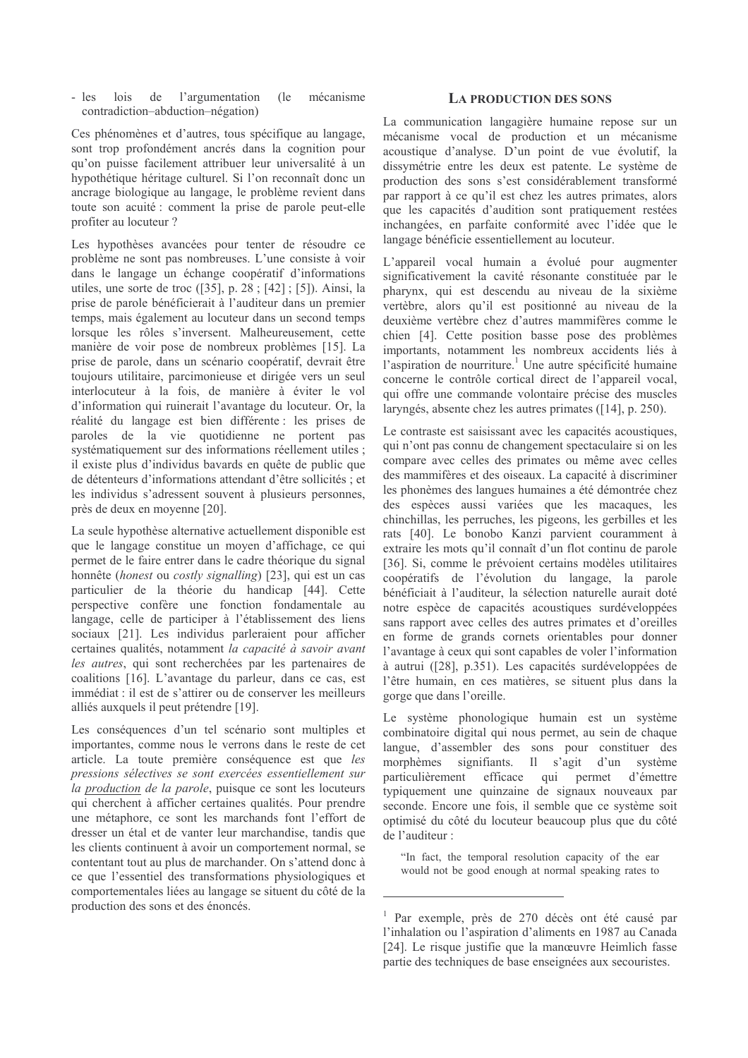$lois$ de l'argumentation mécanisme  $-$  les (le contradiction-abduction-négation)

Ces phénomènes et d'autres, tous spécifique au langage. sont trop profondément ancrés dans la cognition pour qu'on puisse facilement attribuer leur universalité à un hypothétique héritage culturel. Si l'on reconnaît donc un ancrage biologique au langage, le problème revient dans toute son acuité : comment la prise de parole peut-elle profiter au locuteur?

Les hypothèses avancées pour tenter de résoudre ce problème ne sont pas nombreuses. L'une consiste à voir dans le langage un échange coopératif d'informations utiles, une sorte de troc  $(35)$ , p. 28 ;  $[42]$ ; [5]). Ainsi, la prise de parole bénéficierait à l'auditeur dans un premier temps, mais également au locuteur dans un second temps lorsque les rôles s'inversent. Malheureusement, cette manière de voir pose de nombreux problèmes [15]. La prise de parole, dans un scénario coopératif, devrait être toujours utilitaire, parcimonieuse et dirigée vers un seul interlocuteur à la fois, de manière à éviter le vol d'information qui ruinerait l'avantage du locuteur. Or, la réalité du langage est bien différente : les prises de paroles de la vie quotidienne ne portent pas systématiquement sur des informations réellement utiles ; il existe plus d'individus bavards en quête de public que de détenteurs d'informations attendant d'être sollicités : et les individus s'adressent souvent à plusieurs personnes, près de deux en moyenne [20].

La seule hypothèse alternative actuellement disponible est que le langage constitue un moyen d'affichage, ce qui permet de le faire entrer dans le cadre théorique du signal honnête (*honest* ou *costly signalling*) [23], qui est un cas particulier de la théorie du handicap [44]. Cette perspective confère une fonction fondamentale au langage, celle de participer à l'établissement des liens sociaux [21]. Les individus parleraient pour afficher certaines qualités, notamment la capacité à savoir avant les autres, qui sont recherchées par les partenaires de coalitions [16]. L'avantage du parleur, dans ce cas, est immédiat : il est de s'attirer ou de conserver les meilleurs alliés auxquels il peut prétendre [19].

Les conséquences d'un tel scénario sont multiples et importantes, comme nous le verrons dans le reste de cet article. La toute première conséquence est que les pressions sélectives se sont exercées essentiellement sur la production de la parole, puisque ce sont les locuteurs qui cherchent à afficher certaines qualités. Pour prendre une métaphore, ce sont les marchands font l'effort de dresser un étal et de vanter leur marchandise, tandis que les clients continuent à avoir un comportement normal, se contentant tout au plus de marchander. On s'attend donc à ce que l'essentiel des transformations physiologiques et comportementales liées au langage se situent du côté de la production des sons et des énoncés.

### **LA PRODUCTION DES SONS**

La communication langagière humaine repose sur un mécanisme vocal de production et un mécanisme acoustique d'analyse. D'un point de vue évolutif, la dissymétrie entre les deux est patente. Le système de production des sons s'est considérablement transformé par rapport à ce qu'il est chez les autres primates, alors que les capacités d'audition sont pratiquement restées inchangées, en parfaite conformité avec l'idée que le langage bénéficie essentiellement au locuteur.

L'appareil vocal humain a évolué pour augmenter significativement la cavité résonante constituée par le pharynx, qui est descendu au niveau de la sixième vertèbre, alors qu'il est positionné au niveau de la deuxième vertèbre chez d'autres mammifères comme le chien [4]. Cette position basse pose des problèmes importants, notamment les nombreux accidents liés à l'aspiration de nourriture.<sup>1</sup> Une autre spécificité humaine concerne le contrôle cortical direct de l'appareil vocal, qui offre une commande volontaire précise des muscles laryngés, absente chez les autres primates ([14], p. 250).

Le contraste est saisissant avec les capacités acoustiques, qui n'ont pas connu de changement spectaculaire si on les compare avec celles des primates ou même avec celles des mammifères et des oiseaux. La capacité à discriminer les phonèmes des langues humaines a été démontrée chez des espèces aussi variées que les macaques les chinchillas, les perruches, les pigeons, les gerbilles et les rats [40]. Le bonobo Kanzi parvient couramment à extraire les mots qu'il connaît d'un flot continu de parole [36]. Si, comme le prévoient certains modèles utilitaires coopératifs de l'évolution du langage, la parole bénéficiait à l'auditeur. la sélection naturelle aurait doté notre espèce de capacités acoustiques surdéveloppées sans rapport avec celles des autres primates et d'oreilles en forme de grands cornets orientables pour donner l'avantage à ceux qui sont capables de voler l'information à autrui ([28], p.351). Les capacités surdéveloppées de l'être humain, en ces matières, se situent plus dans la gorge que dans l'oreille.

Le système phonologique humain est un système combinatoire digital qui nous permet, au sein de chaque langue, d'assembler des sons pour constituer des morphèmes signifiants. Il s'agit d'un système particulièrement efficace qui permet d'émettre typiquement une quinzaine de signaux nouveaux par seconde. Encore une fois, il semble que ce système soit optimisé du côté du locuteur beaucoup plus que du côté de l'auditeur :

"In fact, the temporal resolution capacity of the ear would not be good enough at normal speaking rates to

<sup>&</sup>lt;sup>1</sup> Par exemple, près de 270 décès ont été causé par l'inhalation ou l'aspiration d'aliments en 1987 au Canada [24]. Le risque justifie que la manœuvre Heimlich fasse partie des techniques de base enseignées aux secouristes.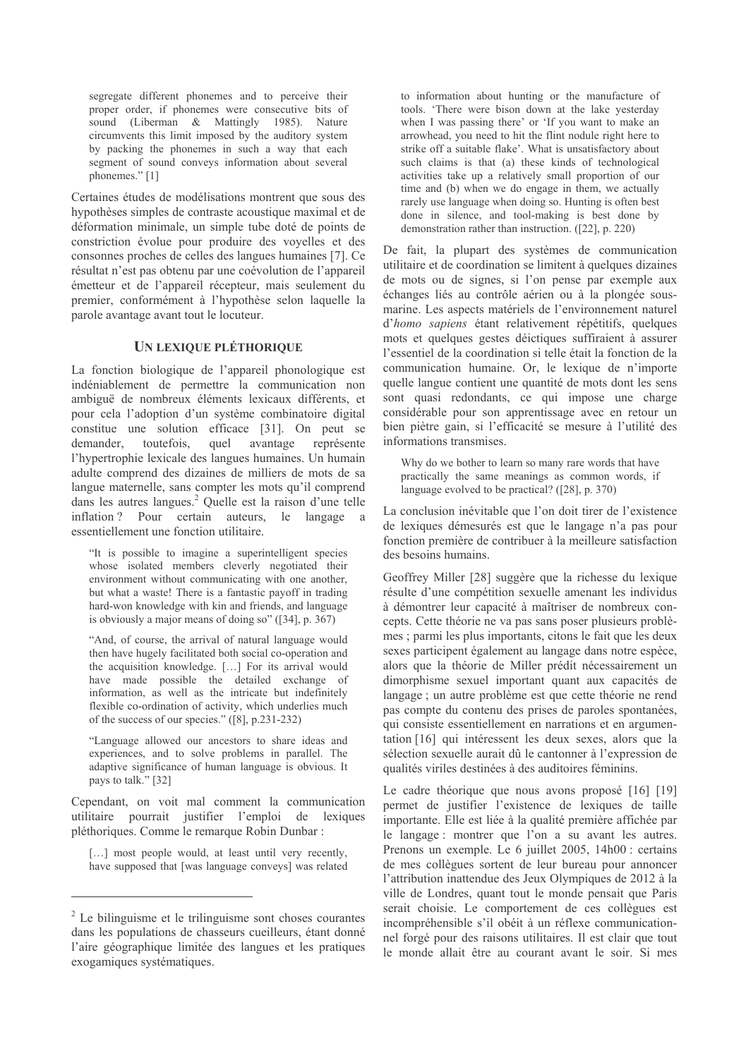segregate different phonemes and to perceive their proper order, if phonemes were consecutive bits of sound (Liberman & Mattingly 1985). Nature circumvents this limit imposed by the auditory system by packing the phonemes in such a way that each segment of sound conveys information about several phonemes." $[1]$ 

Certaines études de modélisations montrent que sous des hypothèses simples de contraste acoustique maximal et de déformation minimale, un simple tube doté de points de constriction évolue pour produire des voyelles et des consonnes proches de celles des langues humaines [7]. Ce résultat n'est pas obtenu par une coévolution de l'appareil émetteur et de l'appareil récepteur, mais seulement du premier, conformément à l'hypothèse selon laquelle la parole avantage avant tout le locuteur.

### UN LEXIQUE PLÉTHORIQUE

La fonction biologique de l'appareil phonologique est indéniablement de permettre la communication non ambiguë de nombreux éléments lexicaux différents, et pour cela l'adoption d'un système combinatoire digital constitue une solution efficace [31]. On peut se demander, toutefois, avantage quel représente l'hypertrophie lexicale des langues humaines. Un humain adulte comprend des dizaines de milliers de mots de sa langue maternelle, sans compter les mots qu'il comprend dans les autres langues.<sup>2</sup> Quelle est la raison d'une telle inflation? Pour certain auteurs, le langage  $\overline{a}$ essentiellement une fonction utilitaire.

"It is possible to imagine a superintelligent species whose isolated members cleverly negotiated their environment without communicating with one another, but what a waste! There is a fantastic payoff in trading hard-won knowledge with kin and friends, and language is obviously a major means of doing so"  $(34]$ , p. 367)

"And, of course, the arrival of natural language would then have hugely facilitated both social co-operation and the acquisition knowledge. [...] For its arrival would have made possible the detailed exchange of information, as well as the intricate but indefinitely flexible co-ordination of activity, which underlies much of the success of our species." ([8], p.231-232)

"Language allowed our ancestors to share ideas and experiences, and to solve problems in parallel. The adaptive significance of human language is obvious. It pays to talk." [32]

Cependant, on voit mal comment la communication utilitaire pourrait justifier l'emploi de lexiques pléthoriques. Comme le remarque Robin Dunbar :

[...] most people would, at least until very recently, have supposed that [was language conveys] was related

to information about hunting or the manufacture of tools. There were bison down at the lake vesterday when I was passing there' or 'If you want to make an arrowhead, you need to hit the flint nodule right here to strike off a suitable flake'. What is unsatisfactory about such claims is that (a) these kinds of technological activities take up a relatively small proportion of our time and (b) when we do engage in them, we actually rarely use language when doing so. Hunting is often best done in silence, and tool-making is best done by demonstration rather than instruction.  $(22)$ , p. 220)

De fait, la plupart des systèmes de communication utilitaire et de coordination se limitent à quelques dizaines de mots ou de signes, si l'on pense par exemple aux échanges liés au contrôle aérien ou à la plongée sousmarine. Les aspects matériels de l'environnement naturel d'homo sapiens étant relativement répétitifs, quelques mots et quelques gestes déictiques suffiraient à assurer l'essentiel de la coordination si telle était la fonction de la communication humaine. Or, le lexique de n'importe quelle langue contient une quantité de mots dont les sens sont quasi redondants, ce qui impose une charge considérable pour son apprentissage avec en retour un bien piètre gain, si l'efficacité se mesure à l'utilité des informations transmises.

Why do we bother to learn so many rare words that have practically the same meanings as common words, if language evolved to be practical?  $(28)$ , p. 370)

La conclusion inévitable que l'on doit tirer de l'existence de lexiques démesurés est que le langage n'a pas pour fonction première de contribuer à la meilleure satisfaction des besoins humains.

Geoffrey Miller [28] suggère que la richesse du lexique résulte d'une compétition sexuelle amenant les individus à démontrer leur capacité à maîtriser de nombreux concepts. Cette théorie ne va pas sans poser plusieurs problèmes ; parmi les plus importants, citons le fait que les deux sexes participent également au langage dans notre espèce, alors que la théorie de Miller prédit nécessairement un dimorphisme sexuel important quant aux capacités de langage ; un autre problème est que cette théorie ne rend pas compte du contenu des prises de paroles spontanées, qui consiste essentiellement en narrations et en argumentation [16] qui intéressent les deux sexes, alors que la sélection sexuelle aurait dû le cantonner à l'expression de qualités viriles destinées à des auditoires féminins.

Le cadre théorique que nous avons proposé [16] [19] permet de justifier l'existence de lexiques de taille importante. Elle est liée à la qualité première affichée par le langage : montrer que l'on a su avant les autres. Prenons un exemple. Le 6 juillet 2005, 14h00 : certains de mes collègues sortent de leur bureau pour annoncer l'attribution inattendue des Jeux Olympiques de 2012 à la ville de Londres, quant tout le monde pensait que Paris serait choisie. Le comportement de ces collègues est incompréhensible s'il obéit à un réflexe communicationnel forgé pour des raisons utilitaires. Il est clair que tout le monde allait être au courant avant le soir. Si mes

 $2$  Le bilinguisme et le trilinguisme sont choses courantes dans les populations de chasseurs cueilleurs, étant donné l'aire géographique limitée des langues et les pratiques exogamiques systématiques.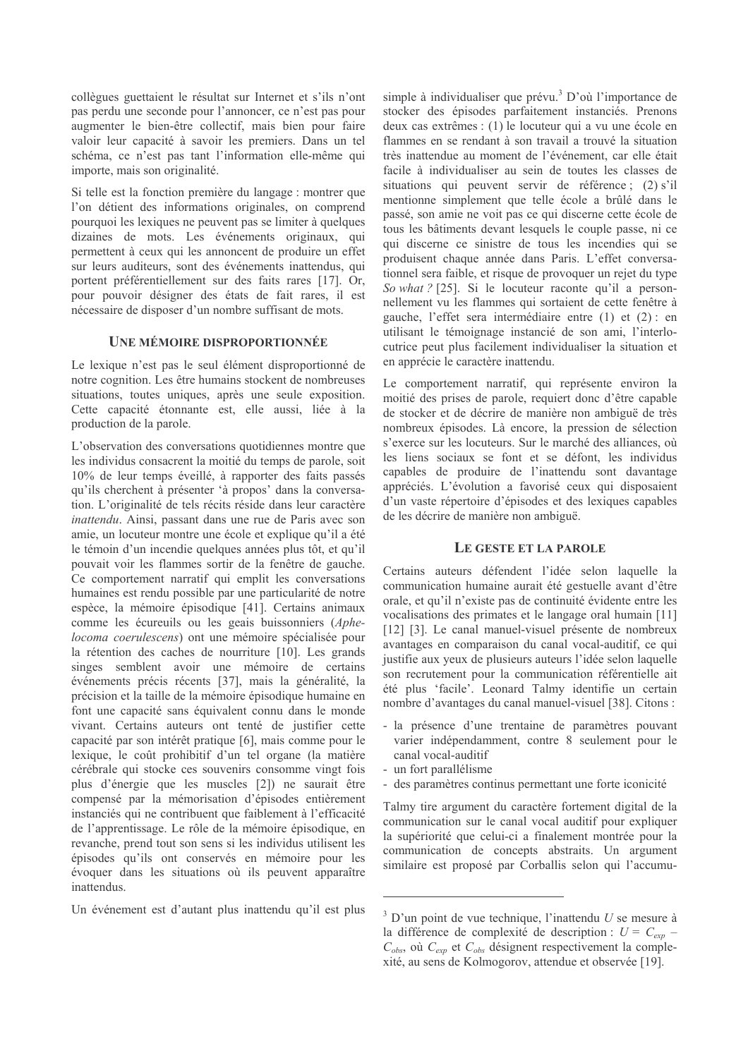collègues guettaient le résultat sur Internet et s'ils n'ont pas perdu une seconde pour l'annoncer, ce n'est pas pour augmenter le bien-être collectif, mais bien pour faire valoir leur capacité à savoir les premiers. Dans un tel schéma, ce n'est pas tant l'information elle-même qui importe, mais son originalité.

Si telle est la fonction première du langage : montrer que l'on détient des informations originales, on comprend pourquoi les lexiques ne peuvent pas se limiter à quelques dizaines de mots. Les événements originaux, qui permettent à ceux qui les annoncent de produire un effet sur leurs auditeurs, sont des événements inattendus, qui portent préférentiellement sur des faits rares [17]. Or, pour pouvoir désigner des états de fait rares, il est nécessaire de disposer d'un nombre suffisant de mots.

#### **UNE MÉMOIRE DISPROPORTIONNÉE**

Le lexique n'est pas le seul élément disproportionné de notre cognition. Les être humains stockent de nombreuses situations, toutes uniques, après une seule exposition. Cette capacité étonnante est, elle aussi, liée à la production de la parole.

L'observation des conversations quotidiennes montre que les individus consacrent la moitié du temps de parole, soit 10% de leur temps éveillé, à rapporter des faits passés qu'ils cherchent à présenter 'à propos' dans la conversation. L'originalité de tels récits réside dans leur caractère inattendu. Ainsi, passant dans une rue de Paris avec son amie, un locuteur montre une école et explique qu'il a été le témoin d'un incendie quelques années plus tôt, et qu'il pouvait voir les flammes sortir de la fenêtre de gauche. Ce comportement narratif qui emplit les conversations humaines est rendu possible par une particularité de notre espèce, la mémoire épisodique [41]. Certains animaux comme les écureuils ou les geais buissonniers (Aphelocoma coerulescens) ont une mémoire spécialisée pour la rétention des caches de nourriture [10]. Les grands singes semblent avoir une mémoire de certains événements précis récents [37], mais la généralité, la précision et la taille de la mémoire épisodique humaine en font une capacité sans équivalent connu dans le monde vivant. Certains auteurs ont tenté de justifier cette capacité par son intérêt pratique [6], mais comme pour le lexique, le coût prohibitif d'un tel organe (la matière cérébrale qui stocke ces souvenirs consomme vingt fois plus d'énergie que les muscles [2]) ne saurait être compensé par la mémorisation d'épisodes entièrement instanciés qui ne contribuent que faiblement à l'efficacité de l'apprentissage. Le rôle de la mémoire épisodique, en revanche, prend tout son sens si les individus utilisent les épisodes qu'ils ont conservés en mémoire pour les évoquer dans les situations où ils peuvent apparaître inattendus.

Un événement est d'autant plus inattendu qu'il est plus

simple à individualiser que prévu.<sup>3</sup> D'où l'importance de stocker des épisodes parfaitement instanciés. Prenons deux cas extrêmes : (1) le locuteur qui a vu une école en flammes en se rendant à son travail a trouvé la situation très inattendue au moment de l'événement, car elle était facile à individualiser au sein de toutes les classes de situations qui peuvent servir de référence; (2) s'il mentionne simplement que telle école a brûlé dans le passé, son amie ne voit pas ce qui discerne cette école de tous les bâtiments devant lesquels le couple passe, ni ce qui discerne ce sinistre de tous les incendies qui se produisent chaque année dans Paris. L'effet conversationnel sera faible, et risque de provoquer un rejet du type So what? [25]. Si le locuteur raconte qu'il a personnellement vu les flammes qui sortaient de cette fenêtre à gauche, l'effet sera intermédiaire entre (1) et (2) : en utilisant le témoignage instancié de son ami, l'interlocutrice peut plus facilement individualiser la situation et en apprécie le caractère inattendu.

Le comportement narratif, qui représente environ la moitié des prises de parole, requiert donc d'être capable de stocker et de décrire de manière non ambiguë de très nombreux épisodes. Là encore, la pression de sélection s'exerce sur les locuteurs. Sur le marché des alliances, où les liens sociaux se font et se défont, les individus capables de produire de l'inattendu sont davantage appréciés. L'évolution a favorisé ceux qui disposaient d'un vaste répertoire d'épisodes et des lexiques capables de les décrire de manière non ambiguë.

### LE GESTE ET LA PAROLE

Certains auteurs défendent l'idée selon laquelle la communication humaine aurait été gestuelle avant d'être orale, et qu'il n'existe pas de continuité évidente entre les vocalisations des primates et le langage oral humain [11] [12] [3]. Le canal manuel-visuel présente de nombreux avantages en comparaison du canal vocal-auditif, ce qui justifie aux yeux de plusieurs auteurs l'idée selon laquelle son recrutement pour la communication référentielle ait été plus 'facile'. Leonard Talmy identifie un certain nombre d'avantages du canal manuel-visuel [38]. Citons :

- la présence d'une trentaine de paramètres pouvant varier indépendamment, contre 8 seulement pour le canal vocal-auditif
- un fort parallélisme
- des paramètres continus permettant une forte iconicité

Talmy tire argument du caractère fortement digital de la communication sur le canal vocal auditif pour expliquer la supériorité que celui-ci a finalement montrée pour la communication de concepts abstraits. Un argument similaire est proposé par Corballis selon qui l'accumu-

 $3$  D'un point de vue technique, l'inattendu U se mesure à la différence de complexité de description :  $U = C_{exp}$  –  $C_{obs}$ , où  $C_{exp}$  et  $C_{obs}$  désignent respectivement la complexité, au sens de Kolmogorov, attendue et observée [19].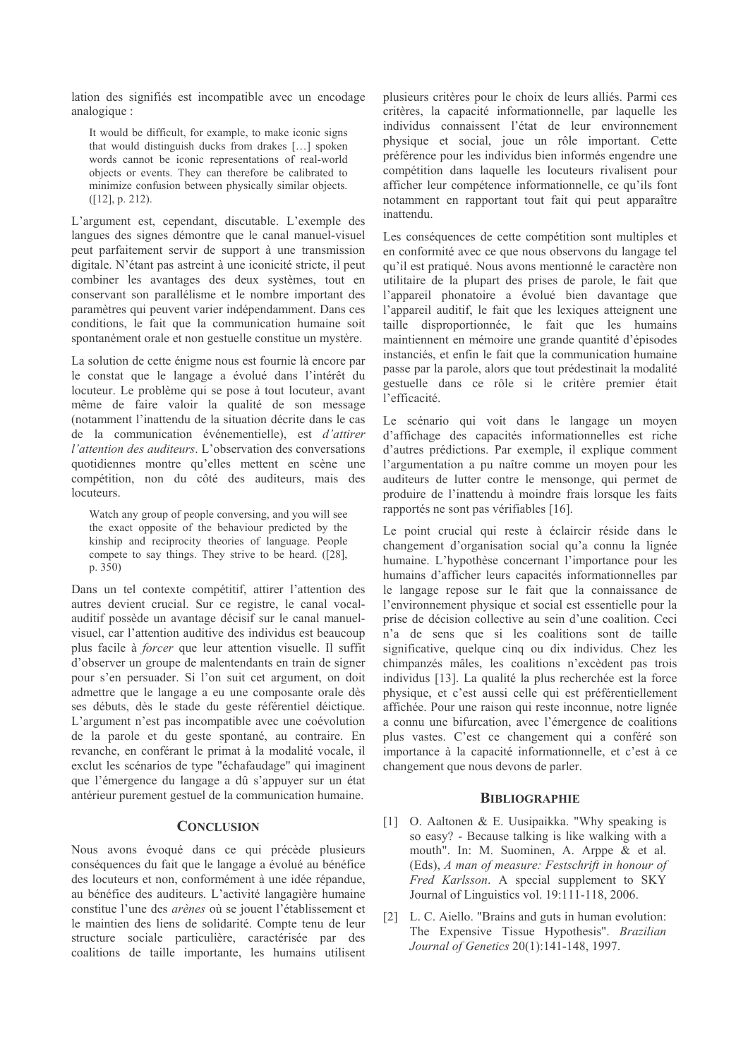lation des signifiés est incompatible avec un encodage analogique :

It would be difficult, for example, to make iconic signs that would distinguish ducks from drakes [...] spoken words cannot be iconic representations of real-world objects or events. They can therefore be calibrated to minimize confusion between physically similar objects.  $([12], p. 212).$ 

L'argument est, cependant, discutable. L'exemple des langues des signes démontre que le canal manuel-visuel peut parfaitement servir de support à une transmission digitale. N'étant pas astreint à une iconicité stricte, il peut combiner les avantages des deux systèmes, tout en conservant son parallélisme et le nombre important des paramètres qui peuvent varier indépendamment. Dans ces conditions, le fait que la communication humaine soit spontanément orale et non gestuelle constitue un mystère.

La solution de cette énigme nous est fournie là encore par le constat que le langage a évolué dans l'intérêt du locuteur. Le problème qui se pose à tout locuteur, avant même de faire valoir la qualité de son message (notamment l'inattendu de la situation décrite dans le cas de la communication événementielle), est *d'attirer* l'attention des auditeurs. L'observation des conversations quotidiennes montre qu'elles mettent en scène une compétition, non du côté des auditeurs, mais des locuteurs.

Watch any group of people conversing, and you will see the exact opposite of the behaviour predicted by the kinship and reciprocity theories of language. People compete to say things. They strive to be heard.  $(28)$ ,  $p. 350$ 

Dans un tel contexte compétitif, attirer l'attention des autres devient crucial. Sur ce registre, le canal vocalauditif possède un avantage décisif sur le canal manuelvisuel, car l'attention auditive des individus est beaucoup plus facile à *forcer* que leur attention visuelle. Il suffit d'observer un groupe de malentendants en train de signer pour s'en persuader. Si l'on suit cet argument, on doit admettre que le langage a eu une composante orale dès ses débuts, dès le stade du geste référentiel déictique. L'argument n'est pas incompatible avec une coévolution de la parole et du geste spontané, au contraire. En revanche, en conférant le primat à la modalité vocale, il exclut les scénarios de type "échafaudage" qui imaginent que l'émergence du langage a dû s'appuyer sur un état antérieur purement gestuel de la communication humaine.

#### **CONCLUSION**

Nous avons évoqué dans ce qui précède plusieurs conséquences du fait que le langage a évolué au bénéfice des locuteurs et non, conformément à une idée répandue, au bénéfice des auditeurs. L'activité langagière humaine constitue l'une des *arènes* où se jouent l'établissement et le maintien des liens de solidarité. Compte tenu de leur structure sociale particulière, caractérisée par des coalitions de taille importante, les humains utilisent

plusieurs critères pour le choix de leurs alliés. Parmi ces critères, la capacité informationnelle, par laquelle les individus connaissent l'état de leur environnement physique et social, joue un rôle important. Cette préférence pour les individus bien informés engendre une compétition dans laquelle les locuteurs rivalisent pour afficher leur compétence informationnelle, ce qu'ils font notamment en rapportant tout fait qui peut apparaître inattendu.

Les conséquences de cette compétition sont multiples et en conformité avec ce que nous observons du langage tel qu'il est pratiqué. Nous avons mentionné le caractère non utilitaire de la plupart des prises de parole, le fait que l'appareil phonatoire a évolué bien davantage que l'appareil auditif, le fait que les lexiques atteignent une taille disproportionnée, le fait que les humains maintiennent en mémoire une grande quantité d'épisodes instanciés, et enfin le fait que la communication humaine passe par la parole, alors que tout prédestinait la modalité gestuelle dans ce rôle si le critère premier était l'efficacité.

Le scénario qui voit dans le langage un moyen d'affichage des capacités informationnelles est riche d'autres prédictions. Par exemple, il explique comment l'argumentation a pu naître comme un moyen pour les auditeurs de lutter contre le mensonge, qui permet de produire de l'inattendu à moindre frais lorsque les faits rapportés ne sont pas vérifiables [16].

Le point crucial qui reste à éclaircir réside dans le changement d'organisation social qu'a connu la lignée humaine. L'hypothèse concernant l'importance pour les humains d'afficher leurs capacités informationnelles par le langage repose sur le fait que la connaissance de l'environnement physique et social est essentielle pour la prise de décision collective au sein d'une coalition. Ceci n'a de sens que si les coalitions sont de taille significative, quelque cinq ou dix individus. Chez les chimpanzés mâles, les coalitions n'excèdent pas trois individus [13]. La qualité la plus recherchée est la force physique, et c'est aussi celle qui est préférentiellement affichée. Pour une raison qui reste inconnue, notre lignée a connu une bifurcation, avec l'émergence de coalitions plus vastes. C'est ce changement qui a conféré son importance à la capacité informationnelle, et c'est à ce changement que nous devons de parler.

#### **BIBLIOGRAPHIE**

- [1] O. Aaltonen & E. Uusipaikka. "Why speaking is so easy? - Because talking is like walking with a mouth". In: M. Suominen, A. Arppe & et al. (Eds), A man of measure: Festschrift in honour of Fred Karlsson. A special supplement to SKY Journal of Linguistics vol. 19:111-118, 2006.
- [2] L. C. Aiello. "Brains and guts in human evolution: The Expensive Tissue Hypothesis". Brazilian Journal of Genetics 20(1):141-148, 1997.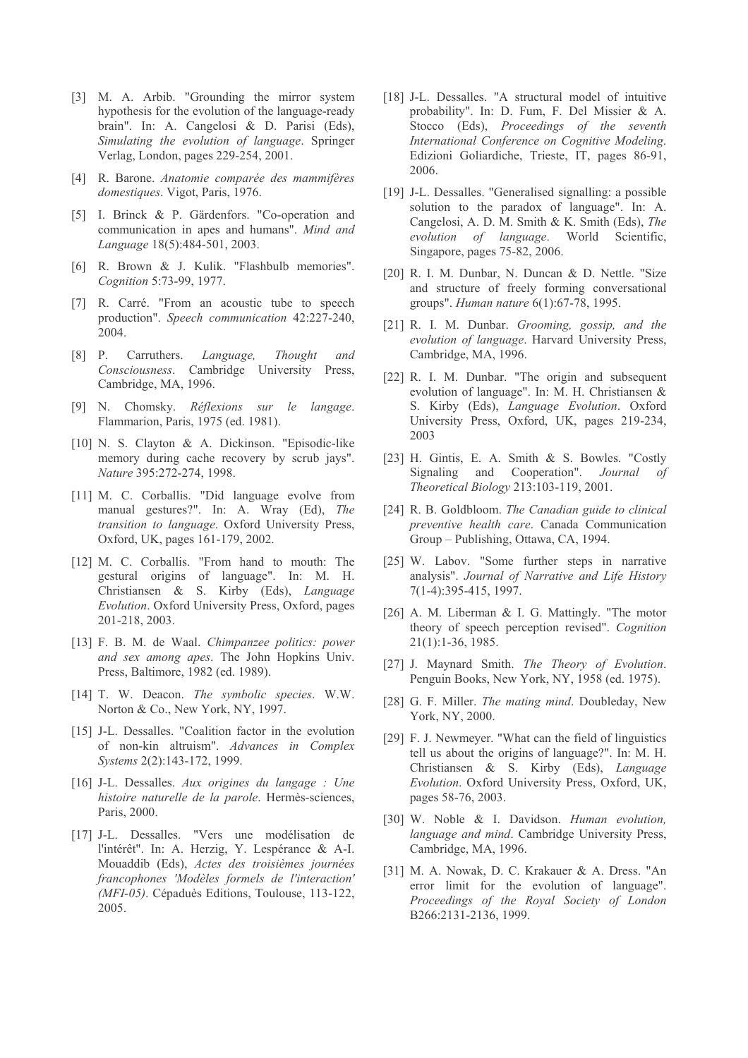- [3] M. A. Arbib. "Grounding the mirror system hypothesis for the evolution of the language-ready brain". In: A. Cangelosi & D. Parisi (Eds), Simulating the evolution of language. Springer Verlag, London, pages 229-254, 2001.
- [4] R. Barone. Anatomie comparée des mammifères domestiques. Vigot, Paris, 1976.
- [5] I. Brinck & P. Gärdenfors. "Co-operation and communication in apes and humans". Mind and Language 18(5):484-501, 2003.
- [6] R. Brown & J. Kulik. "Flashbulb memories". Cognition 5:73-99, 1977.
- [7] R. Carré. "From an acoustic tube to speech production". Speech communication 42:227-240, 2004.
- $\begin{bmatrix} 8 \end{bmatrix}$  P. Carruthers. Language, Thought and Consciousness. Cambridge University Press. Cambridge, MA, 1996.
- [9] N. Chomsky. Réflexions sur le langage. Flammarion, Paris, 1975 (ed. 1981).
- [10] N. S. Clayton & A. Dickinson. "Episodic-like memory during cache recovery by scrub jays". Nature 395:272-274, 1998.
- [11] M. C. Corballis. "Did language evolve from manual gestures?". In: A. Wray (Ed), The *transition to language.* Oxford University Press, Oxford, UK, pages 161-179, 2002.
- [12] M. C. Corballis. "From hand to mouth: The gestural origins of language". In: M. H. Christiansen & S. Kirby (Eds), Language Evolution. Oxford University Press, Oxford, pages 201-218, 2003.
- [13] F. B. M. de Waal. Chimpanzee politics: power and sex among apes. The John Hopkins Univ. Press, Baltimore, 1982 (ed. 1989).
- [14] T. W. Deacon. The symbolic species. W.W. Norton & Co., New York, NY, 1997.
- [15] J-L. Dessalles. "Coalition factor in the evolution of non-kin altruism". Advances in Complex Systems 2(2):143-172, 1999.
- [16] J-L. Dessalles. Aux origines du langage : Une histoire naturelle de la parole. Hermès-sciences, Paris, 2000.
- [17] J-L. Dessalles. "Vers une modélisation de l'intérêt". In: A. Herzig, Y. Lespérance & A-I. Mouaddib (Eds), Actes des troisièmes journées francophones 'Modèles formels de l'interaction' (MFI-05). Cépaduès Editions, Toulouse, 113-122, 2005.
- [18] J-L. Dessalles. "A structural model of intuitive probability". In: D. Fum, F. Del Missier & A. Stocco (Eds), Proceedings of the seventh International Conference on Cognitive Modeling. Edizioni Goliardiche, Trieste, IT, pages 86-91, 2006.
- [19] J-L. Dessalles. "Generalised signalling: a possible solution to the paradox of language". In: A. Cangelosi, A. D. M. Smith & K. Smith (Eds), The evolution of language. World Scientific, Singapore, pages 75-82, 2006.
- [20] R. I. M. Dunbar, N. Duncan & D. Nettle. "Size and structure of freely forming conversational groups". Human nature 6(1):67-78, 1995.
- [21] R. I. M. Dunbar. Grooming, gossip, and the evolution of language. Harvard University Press, Cambridge, MA, 1996.
- [22] R. I. M. Dunbar. "The origin and subsequent evolution of language". In: M. H. Christiansen & S. Kirby (Eds), Language Evolution. Oxford University Press, Oxford, UK, pages 219-234, 2003
- [23] H. Gintis, E. A. Smith & S. Bowles. "Costly Signaling and Cooperation". Journal  $\sigma$ f Theoretical Biology 213:103-119, 2001.
- [24] R. B. Goldbloom. The Canadian guide to clinical preventive health care. Canada Communication Group - Publishing, Ottawa, CA, 1994.
- [25] W. Labov. "Some further steps in narrative analysis". Journal of Narrative and Life History 7(1-4):395-415, 1997.
- [26] A. M. Liberman & I. G. Mattingly. "The motor theory of speech perception revised". Cognition 21(1):1-36, 1985.
- [27] J. Maynard Smith. The Theory of Evolution. Penguin Books, New York, NY, 1958 (ed. 1975).
- [28] G. F. Miller. *The mating mind*. Doubleday, New York, NY, 2000.
- [29] F. J. Newmeyer. "What can the field of linguistics tell us about the origins of language?". In: M. H. Christiansen & S. Kirby (Eds), Language Evolution. Oxford University Press, Oxford, UK, pages 58-76, 2003.
- [30] W. Noble & I. Davidson. Human evolution, language and mind. Cambridge University Press. Cambridge, MA, 1996.
- [31] M. A. Nowak, D. C. Krakauer & A. Dress. "An error limit for the evolution of language". Proceedings of the Royal Society of London B266:2131-2136, 1999.